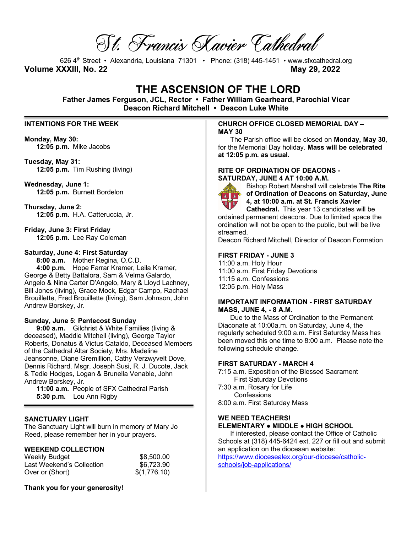St. Francis Xavier Cathedral

626 4th Street • Alexandria, Louisiana 71301 • Phone: (318) 445-1451 • www.sfxcathedral.org **Volume XXXIII, No. 22 May 29, 2022**

# **THE ASCENSION OF THE LORD**

**Father James Ferguson, JCL, Rector • Father William Gearheard, Parochial Vicar Deacon Richard Mitchell • Deacon Luke White**

# **INTENTIONS FOR THE WEEK**

**Monday, May 30: 12:05 p.m.** Mike Jacobs

**Tuesday, May 31: 12:05 p.m.** Tim Rushing (living)

**Wednesday, June 1: 12:05 p.m.** Burnett Bordelon

**Thursday, June 2: 12:05 p.m.** H.A. Catteruccia, Jr.

**Friday, June 3: First Friday 12:05 p.m.** Lee Ray Coleman

## **Saturday, June 4: First Saturday**

**8:00 a.m.** Mother Regina, O.C.D. **4:00 p.m.** Hope Farrar Kramer, Leila Kramer, George & Betty Battalora, Sam & Velma Galardo, Angelo & Nina Carter D'Angelo, Mary & Lloyd Lachney, Bill Jones (living), Grace Mock, Edgar Campo, Rachael Brouillette, Fred Brouillette (living), Sam Johnson, John Andrew Borskey, Jr.

#### **Sunday, June 5: Pentecost Sunday**

**9:00 a.m.** Gilchrist & White Families (living & deceased), Maddie Mitchell (living), George Taylor Roberts, Donatus & Victus Cataldo, Deceased Members of the Cathedral Altar Society, Mrs. Madeline Jeansonne, Diane Gremillion, Cathy Verzwyvelt Dove, Dennis Richard, Msgr. Joseph Susi, R. J. Ducote, Jack & Tedie Hodges, Logan & Brunella Venable, John Andrew Borskey, Jr.

**11:00 a.m.** People of SFX Cathedral Parish **5:30 p.m.** Lou Ann Rigby

#### **SANCTUARY LIGHT**

The Sanctuary Light will burn in memory of Mary Jo Reed, please remember her in your prayers.

#### **WEEKEND COLLECTION**

| Weekly Budget             | \$8,500.00   |
|---------------------------|--------------|
| Last Weekend's Collection | \$6,723.90   |
| Over or (Short)           | \$(1,776.10) |

**Thank you for your generosity!** 

#### **CHURCH OFFICE CLOSED MEMORIAL DAY – MAY 30**

The Parish office will be closed on **Monday, May 30,**  for the Memorial Day holiday. **Mass will be celebrated at 12:05 p.m. as usual.**

#### **RITE OF ORDINATION OF DEACONS - SATURDAY, JUNE 4 AT 10:00 A.M.**



Bishop Robert Marshall will celebrate **The Rite of Ordination of Deacons on Saturday, June 4, at 10:00 a.m. at St. Francis Xavier Cathedral.** This year 13 candidates will be

ordained permanent deacons. Due to limited space the ordination will not be open to the public, but will be live streamed.

Deacon Richard Mitchell, Director of Deacon Formation

#### **FIRST FRIDAY - JUNE 3**

11:00 a.m. Holy Hour 11:00 a.m. First Friday Devotions 11:15 a.m. Confessions 12:05 p.m. Holy Mass

#### **IMPORTANT INFORMATION - FIRST SATURDAY MASS, JUNE 4, - 8 A.M.**

Due to the Mass of Ordination to the Permanent Diaconate at 10:00a.m. on Saturday, June 4, the regularly scheduled 9:00 a.m. First Saturday Mass has been moved this one time to 8:00 a.m. Please note the following schedule change.

#### **FIRST SATURDAY - MARCH 4**

7:15 a.m. Exposition of the Blessed Sacrament First Saturday Devotions

- 7:30 a.m. Rosary for Life **Confessions**
- 8:00 a.m. First Saturday Mass

# **WE NEED TEACHERS! ELEMENTARY ● MIDDLE ● HIGH SCHOOL**

If interested, please contact the Office of Catholic Schools at (318) 445-6424 ext. 227 or fill out and submit an application on the diocesan website:

https://www.diocesealex.org/our-diocese/catholicschools/job-applications/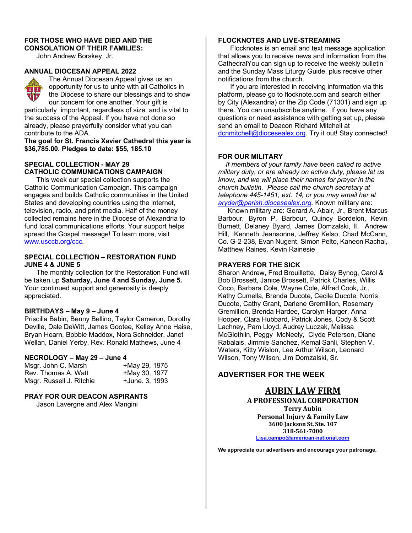### **FOR THOSE WHO HAVE DIED AND THE CONSOLATION OF THEIR FAMILIES:**

John Andrew Borskey, Jr.

## **ANNUAL DIOCESAN APPEAL 2022**



The Annual Diocesan Appeal gives us an opportunity for us to unite with all Catholics in the Diocese to share our blessings and to show our concern for one another. Your gift is

particularly important, regardless of size, and is vital to the success of the Appeal. If you have not done so already, please prayerfully consider what you can contribute to the ADA.

**The goal for St. Francis Xavier Cathedral this year is \$36,785.00. Pledges to date: \$55, 185.10**

# **SPECIAL COLLECTION - MAY 29 CATHOLIC COMMUNICATIONS CAMPAIGN**

This week our special collection supports the Catholic Communication Campaign. This campaign engages and builds Catholic communities in the United States and developing countries using the internet, television, radio, and print media. Half of the money collected remains here in the Diocese of Alexandria to fund local communications efforts. Your support helps spread the Gospel message! To learn more, visit www.usccb.org/ccc.

#### **SPECIAL COLLECTION – RESTORATION FUND JUNE 4 & JUNE 5**

The monthly collection for the Restoration Fund will be taken up **Saturday, June 4 and Sunday, June 5.**  Your continued support and generosity is deeply appreciated.

#### **BIRTHDAYS – May 9 – June 4**

Priscilla Babin, Benny Bellino, Taylor Cameron, Dorothy Deville, Dale DeWitt, James Gootee, Kelley Anne Haise, Bryan Hearn, Bobbie Maddox, Nora Schneider, Janet Wellan, Daniel Yerby, Rev. Ronald Mathews, June 4

# **NECROLOGY – May 29 – June 4**

| Msgr. John C. Marsh      | +May 29, 1975  |
|--------------------------|----------------|
| Rev. Thomas A. Watt      | +May 30, 1977  |
| Msgr. Russell J. Ritchie | +June. 3, 1993 |

# **PRAY FOR OUR DEACON ASPIRANTS**

Jason Lavergne and Alex Mangini

### **FLOCKNOTES AND LIVE-STREAMING**

Flocknotes is an email and text message application that allows you to receive news and information from the CathedralYou can sign up to receive the weekly bulletin and the Sunday Mass Liturgy Guide, plus receive other notifications from the church.

If you are interested in receiving information via this platform, please go to flocknote.com and search either by City (Alexandria) or the Zip Code (71301) and sign up there. You can unsubscribe anytime. If you have any questions or need assistance with getting set up, please send an email to Deacon Richard Mitchell at dcnmitchell@diocesealex.org. Try it out! Stay connected!

#### **FOR OUR MILITARY**

 *If members of your family have been called to active military duty, or are already on active duty, please let us know, and we will place their names for prayer in the church bulletin. Please call the church secretary at telephone 445-1451, ext. 14, or you may email her at aryder@parish.diocesealex.org.* Known military are:

 Known military are: Gerard A. Abair, Jr., Brent Marcus Barbour, Byron P. Barbour, Quincy Bordelon, Kevin Burnett, Delaney Byard, James Domzalski, II, Andrew Hill, Kenneth Jeansonne, Jeffrey Kelso, Chad McCann, Co. G-2-238, Evan Nugent, Simon Pelto, Kaneon Rachal, Matthew Raines, Kevin Rainesie

#### **PRAYERS FOR THE SICK**

Sharon Andrew, Fred Brouillette, Daisy Bynog, Carol & Bob Brossett, Janice Brossett, Patrick Charles, Willis Coco, Barbara Cole, Wayne Cole, Alfred Cook, Jr., Kathy Cumella, Brenda Ducote, Cecile Ducote, Norris Ducote, Cathy Grant, Darlene Gremillion, Rosemary Gremillion, Brenda Hardee, Carolyn Harger, Anna Hooper, Clara Hubbard, Patrick Jones, Cody & Scott Lachney, Pam Lloyd, Audrey Luczak, Melissa McGlothlin, Peggy McNeely, Clyde Peterson, Diane Rabalais, Jimmie Sanchez, Kemal Sanli, Stephen V. Waters, Kitty Wislon, Lee Arthur Wilson, Leonard Wilson, Tony Wilson, Jim Domzalski, Sr.

# **ADVERTISER FOR THE WEEK**

**AUBIN LAW FIRM A PROFESSIONAL CORPORATION Terry Aubin Personal Injury & Family Law 3600 Jackson St. Ste. 107 318-561-7000 Lisa.campo@american-national.com**

**We appreciate our advertisers and encourage your patronage.**